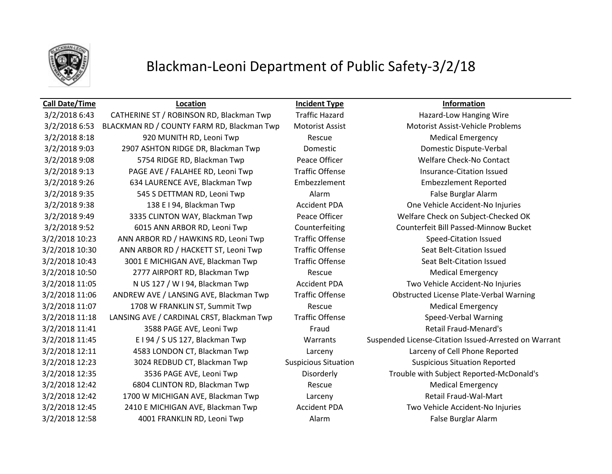

### **Call Date/Time Location Incident Type Information**

3/2/2018 6:43 CATHERINE ST / ROBINSON RD, Blackman Twp Traffic Hazard Hazard Hazard-Low Hanging Wire 3/2/2018 6:53 BLACKMAN RD / COUNTY FARM RD, Blackman Twp Motorist Assist Motorist Assist-Vehicle Problems 3/2/2018 8:18 920 MUNITH RD, Leoni Twp Rescue Rescue Medical Emergency 3/2/2018 9:03 2907 ASHTON RIDGE DR, Blackman Twp Domestic Domestic Dispute-Verbal 3/2/2018 9:08 5754 RIDGE RD, Blackman Twp Peace Officer Noted Bullare Check-No Contact 3/2/2018 9:13 PAGE AVE / FALAHEE RD, Leoni Twp Traffic Offense Insurance-Citation Issued 3/2/2018 9:26 634 LAURENCE AVE, Blackman Twp Embezzlement Embezzlement Reported 3/2/2018 9:35 545 S DETTMAN RD, Leoni Twp Alarm Alarm False Burglar Alarm 3/2/2018 9:38 138 E I 94, Blackman Twp **Accident PDA** One Vehicle Accident-No Injuries 3/2/2018 9:49 3335 CLINTON WAY, Blackman Twp Peace Officer Welfare Check on Subject-Checked OK 3/2/2018 9:52 6015 ANN ARBOR RD, Leoni Twp Counterfeiting Counterfeit Bill Passed-Minnow Bucket 3/2/2018 10:23 ANN ARBOR RD / HAWKINS RD, Leoni Twp Traffic Offense Speed-Citation Issued 3/2/2018 10:30 ANN ARBOR RD / HACKETT ST, Leoni Twp Traffic Offense Seat Belt-Citation Issued 3/2/2018 10:43 3001 E MICHIGAN AVE, Blackman Twp Traffic Offense Seat Belt-Citation Issued 3/2/2018 10:50 2777 AIRPORT RD, Blackman Twp Rescue Medical Emergency 3/2/2018 11:05 N US 127 / W I 94, Blackman Twp Accident PDA Two Vehicle Accident-No Injuries 3/2/2018 11:06 ANDREW AVE / LANSING AVE, Blackman Twp Traffic Offense Obstructed License Plate-Verbal Warning 3/2/2018 11:07 1708 W FRANKLIN ST, Summit Twp Rescue Medical Emergency 3/2/2018 11:18 LANSING AVE / CARDINAL CRST, Blackman Twp Traffic Offense Speed-Verbal Warning 3/2/2018 11:41 3588 PAGE AVE, Leoni Twp Fraud Retail Fraud-Menard's 3/2/2018 11:45 E I 94 / S US 127, Blackman Twp Warrants Suspended License-Citation Issued-Arrested on Warrant 3/2/2018 12:11 4583 LONDON CT, Blackman Twp Larceny Larceny of Cell Phone Reported 3/2/2018 12:23 3024 REDBUD CT, Blackman Twp Suspicious Situation Suspicious Situation Reported 3/2/2018 12:35 3536 PAGE AVE, Leoni Twp Disorderly Trouble with Subject Reported-McDonald's 3/2/2018 12:42 6804 CLINTON RD, Blackman Twp Rescue Medical Emergency 3/2/2018 12:42 1700 W MICHIGAN AVE, Blackman Twp Larceny Larceny Retail Fraud-Wal-Mart 3/2/2018 12:45 2410 E MICHIGAN AVE, Blackman Twp Accident PDA Two Vehicle Accident-No Injuries 3/2/2018 12:58 4001 FRANKLIN RD, Leoni Twp Alarm False Burglar Alarm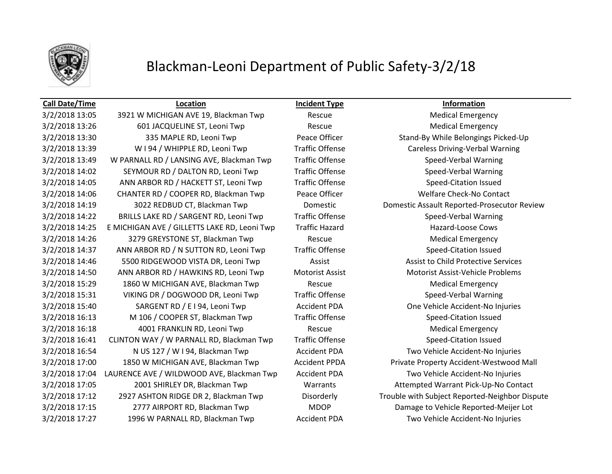

### **Call Date/Time Location Incident Type Information**

3/2/2018 13:05 3921 W MICHIGAN AVE 19, Blackman Twp Rescue Rescue Medical Emergency 3/2/2018 13:26 601 JACQUELINE ST, Leoni Twp Rescue Rescue Medical Emergency 3/2/2018 13:30 335 MAPLE RD, Leoni Twp Peace Officer Stand-By While Belongings Picked-Up 3/2/2018 13:39 W I 94 / WHIPPLE RD, Leoni Twp Traffic Offense Careless Driving-Verbal Warning 3/2/2018 13:49 W PARNALL RD / LANSING AVE, Blackman Twp Traffic Offense Speed-Verbal Warning 3/2/2018 14:02 SEYMOUR RD / DALTON RD, Leoni Twp Traffic Offense Speed-Verbal Warning 3/2/2018 14:05 ANN ARBOR RD / HACKETT ST, Leoni Twp Traffic Offense Speed-Citation Issued 3/2/2018 14:06 CHANTER RD / COOPER RD, Blackman Twp Peace Officer Welfare Check-No Contact 3/2/2018 14:19 3022 REDBUD CT, Blackman Twp Domestic Domestic Assault Reported-Prosecutor Review 3/2/2018 14:22 BRILLS LAKE RD / SARGENT RD, Leoni Twp Traffic Offense Speed-Verbal Warning 3/2/2018 14:25 E MICHIGAN AVE / GILLETTS LAKE RD, Leoni Twp Traffic Hazard Hazard-Loose Cows 3/2/2018 14:26 3279 GREYSTONE ST, Blackman Twp Rescue Medical Emergency 3/2/2018 14:37 ANN ARBOR RD / N SUTTON RD, Leoni Twp Traffic Offense Speed-Citation Issued 3/2/2018 14:46 5500 RIDGEWOOD VISTA DR, Leoni Twp Assist Assist to Child Protective Services 3/2/2018 14:50 ANN ARBOR RD / HAWKINS RD, Leoni Twp Motorist Assist Motorist Assist-Vehicle Problems 3/2/2018 15:29 1860 W MICHIGAN AVE, Blackman Twp Rescue Medical Emergency 3/2/2018 15:31 VIKING DR / DOGWOOD DR, Leoni Twp Traffic Offense Speed-Verbal Warning 3/2/2018 15:40 SARGENT RD / E I 94, Leoni Twp Accident PDA One Vehicle Accident-No Injuries 3/2/2018 16:13 M 106 / COOPER ST, Blackman Twp Traffic Offense Speed-Citation Issued 3/2/2018 16:18 4001 FRANKLIN RD, Leoni Twp Rescue Medical Emergency 3/2/2018 16:41 CLINTON WAY / W PARNALL RD, Blackman Twp Traffic Offense Speed-Citation Issued 3/2/2018 16:54 N US 127 / W I 94, Blackman Twp Accident PDA Two Vehicle Accident-No Injuries 3/2/2018 17:00 1850 W MICHIGAN AVE, Blackman Twp Accident PPDA Private Property Accident-Westwood Mall 3/2/2018 17:04 LAURENCE AVE / WILDWOOD AVE, Blackman Twp Accident PDA Two Vehicle Accident-No Injuries 3/2/2018 17:05 2001 SHIRLEY DR, Blackman Twp Warrants Attempted Warrant Pick-Up-No Contact 3/2/2018 17:12 2927 ASHTON RIDGE DR 2, Blackman Twp Disorderly Trouble with Subject Reported-Neighbor Dispute 3/2/2018 17:15 2777 AIRPORT RD, Blackman Twp MDOP Damage to Vehicle Reported-Meijer Lot 3/2/2018 17:27 1996 W PARNALL RD, Blackman Twp Accident PDA Two Vehicle Accident-No Injuries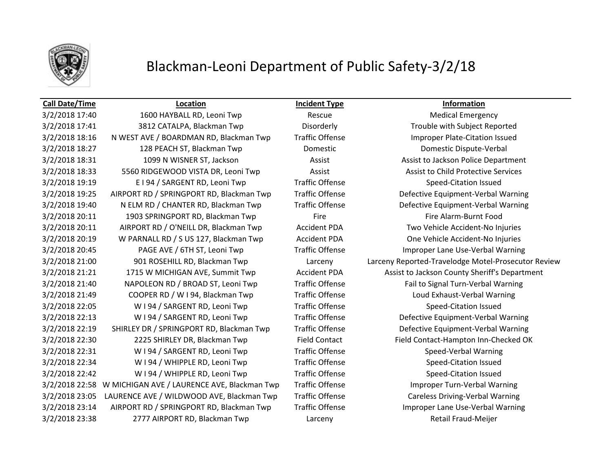

3/2/2018 17:40 1600 HAYBALL RD, Leoni Twp Rescue Medical Emergency 3/2/2018 17:41 3812 CATALPA, Blackman Twp Disorderly Trouble with Subject Reported 3/2/2018 18:16 N WEST AVE / BOARDMAN RD, Blackman Twp Traffic Offense Improper Plate-Citation Issued 3/2/2018 18:27 128 PEACH ST, Blackman Twp Domestic Domestic Dispute-Verbal 3/2/2018 18:31 1099 N WISNER ST, Jackson Assist Assist to Jackson Police Department 3/2/2018 18:33 5560 RIDGEWOOD VISTA DR, Leoni Twp Assist Assist Assist to Child Protective Services 3/2/2018 19:19 **E** I 94 / SARGENT RD, Leoni Twp **Traffic Offense** Speed-Citation Issued 3/2/2018 19:25 AIRPORT RD / SPRINGPORT RD, Blackman Twp Traffic Offense Defective Equipment-Verbal Warning 3/2/2018 19:40 N ELM RD / CHANTER RD, Blackman Twp Traffic Offense Defective Equipment-Verbal Warning 3/2/2018 20:11 1903 SPRINGPORT RD, Blackman Twp Fire Fire Fire Alarm-Burnt Food 3/2/2018 20:11 AIRPORT RD / O'NEILL DR, Blackman Twp Accident PDA Two Vehicle Accident-No Injuries 3/2/2018 20:19 W PARNALL RD / S US 127, Blackman Twp Accident PDA One Vehicle Accident-No Injuries 3/2/2018 20:45 PAGE AVE / 6TH ST, Leoni Twp Traffic Offense Improper Lane Use-Verbal Warning 3/2/2018 21:21 1715 W MICHIGAN AVE, Summit Twp Accident PDA Assist to Jackson County Sheriff's Department 3/2/2018 21:40 NAPOLEON RD / BROAD ST, Leoni Twp Traffic Offense Fail to Signal Turn-Verbal Warning 3/2/2018 21:49 COOPER RD / W I 94, Blackman Twp Traffic Offense Loud Exhaust-Verbal Warning 3/2/2018 22:05 W I 94 / SARGENT RD, Leoni Twp Traffic Offense Speed-Citation Issued 3/2/2018 22:13 W I 94 / SARGENT RD, Leoni Twp Traffic Offense Defective Equipment-Verbal Warning 3/2/2018 22:19 SHIRLEY DR / SPRINGPORT RD, Blackman Twp Traffic Offense Defective Equipment-Verbal Warning 3/2/2018 22:30 2225 SHIRLEY DR, Blackman Twp Field Contact Field Contact Field Contact-Hampton Inn-Checked OK 3/2/2018 22:31 W I 94 / SARGENT RD, Leoni Twp Traffic Offense Speed-Verbal Warning 3/2/2018 22:34 W I 94 / WHIPPLE RD, Leoni Twp Traffic Offense Speed-Citation Issued 3/2/2018 22:42 W I 94 / WHIPPLE RD, Leoni Twp Traffic Offense Speed-Citation Issued 3/2/2018 22:58 W MICHIGAN AVE / LAURENCE AVE, Blackman Twp Traffic Offense Improper Turn-Verbal Warning 3/2/2018 23:05 LAURENCE AVE / WILDWOOD AVE, Blackman Twp Traffic Offense Careless Driving-Verbal Warning 3/2/2018 23:14 AIRPORT RD / SPRINGPORT RD, Blackman Twp Traffic Offense Improper Lane Use-Verbal Warning 3/2/2018 23:38 2777 AIRPORT RD, Blackman Twp Larceny Retail Fraud-Meijer

**Call Date/Time Location Incident Type Information**

3/2/2018 21:00 901 ROSEHILL RD, Blackman Twp Larceny Larceny Reported-Travelodge Motel-Prosecutor Review